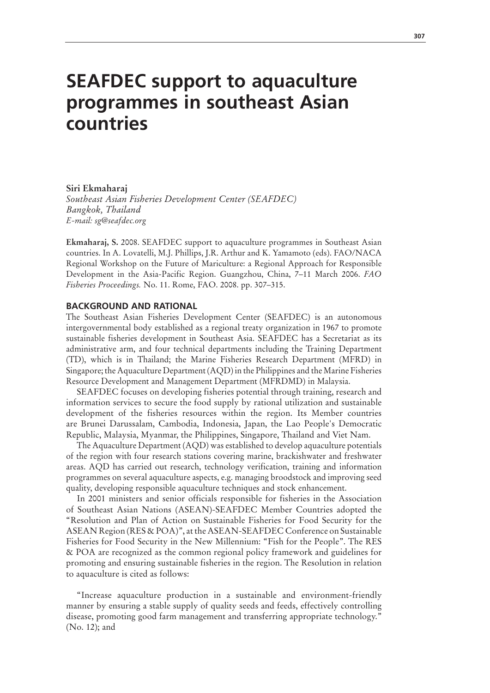# **SEAFDEC support to aquaculture programmes in southeast Asian countries**

#### **Siri Ekmaharaj**

*Southeast Asian Fisheries Development Center (SEAFDEC) Bangkok, Thailand E-mail: sg@seafdec.org*

**Ekmaharaj, S.** 2008. SEAFDEC support to aquaculture programmes in Southeast Asian countries. In A. Lovatelli, M.J. Phillips, J.R. Arthur and K. Yamamoto (eds). FAO/NACA Regional Workshop on the Future of Mariculture: a Regional Approach for Responsible Development in the Asia-Pacific Region. Guangzhou, China, 7–11 March 2006. *FAO Fisheries Proceedings.* No. 11. Rome, FAO. 2008. pp. 307–315.

## **BACKGROUND AND RATIONAL**

The Southeast Asian Fisheries Development Center (SEAFDEC) is an autonomous intergovernmental body established as a regional treaty organization in 1967 to promote sustainable fisheries development in Southeast Asia. SEAFDEC has a Secretariat as its administrative arm, and four technical departments including the Training Department (TD), which is in Thailand; the Marine Fisheries Research Department (MFRD) in Singapore; the Aquaculture Department (AQD) in the Philippines and the Marine Fisheries Resource Development and Management Department (MFRDMD) in Malaysia.

SEAFDEC focuses on developing fisheries potential through training, research and information services to secure the food supply by rational utilization and sustainable development of the fisheries resources within the region. Its Member countries are Brunei Darussalam, Cambodia, Indonesia, Japan, the Lao People's Democratic Republic, Malaysia, Myanmar, the Philippines, Singapore, Thailand and Viet Nam.

The Aquaculture Department (AQD) was established to develop aquaculture potentials of the region with four research stations covering marine, brackishwater and freshwater areas. AQD has carried out research, technology verification, training and information programmes on several aquaculture aspects, e.g. managing broodstock and improving seed quality, developing responsible aquaculture techniques and stock enhancement.

In 2001 ministers and senior officials responsible for fisheries in the Association of Southeast Asian Nations (ASEAN)-SEAFDEC Member Countries adopted the "Resolution and Plan of Action on Sustainable Fisheries for Food Security for the ASEAN Region (RES & POA)", at the ASEAN-SEAFDEC Conference on Sustainable Fisheries for Food Security in the New Millennium: "Fish for the People". The RES & POA are recognized as the common regional policy framework and guidelines for promoting and ensuring sustainable fisheries in the region. The Resolution in relation to aquaculture is cited as follows:

"Increase aquaculture production in a sustainable and environment-friendly manner by ensuring a stable supply of quality seeds and feeds, effectively controlling disease, promoting good farm management and transferring appropriate technology." (No. 12); and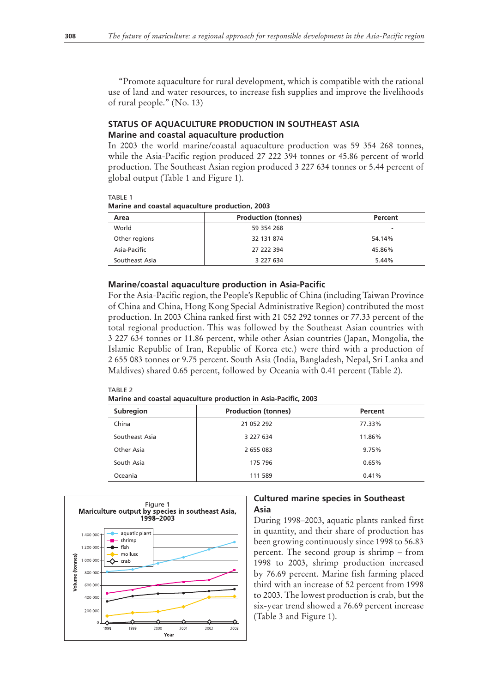"Promote aquaculture for rural development, which is compatible with the rational use of land and water resources, to increase fish supplies and improve the livelihoods of rural people." (No. 13)

# **STATUS OF AQUACULTURE PRODUCTION IN SOUTHEAST ASIA Marine and coastal aquaculture production**

In 2003 the world marine/coastal aquaculture production was 59 354 268 tonnes, while the Asia-Pacific region produced 27 222 394 tonnes or 45.86 percent of world production. The Southeast Asian region produced 3 227 634 tonnes or 5.44 percent of global output (Table 1 and Figure 1).

 $T\Delta$ RIF1

**Marine and coastal aquaculture production, 2003**

| Area           | <b>Production (tonnes)</b> | Percent |
|----------------|----------------------------|---------|
| World          | 59 354 268                 | -       |
| Other regions  | 32 131 874                 | 54.14%  |
| Asia-Pacific   | 27 222 394                 | 45.86%  |
| Southeast Asia | 3 227 634                  | 5.44%   |

## **Marine/coastal aquaculture production in Asia-Pacific**

For the Asia-Pacific region, the People's Republic of China (including Taiwan Province of China and China, Hong Kong Special Administrative Region) contributed the most production. In 2003 China ranked first with 21 052 292 tonnes or 77.33 percent of the total regional production. This was followed by the Southeast Asian countries with 3 227 634 tonnes or 11.86 percent, while other Asian countries (Japan, Mongolia, the Islamic Republic of Iran, Republic of Korea etc.) were third with a production of 2 655 083 tonnes or 9.75 percent. South Asia (India, Bangladesh, Nepal, Sri Lanka and Maldives) shared 0.65 percent, followed by Oceania with 0.41 percent (Table 2).

#### Table 2

**Marine and coastal aquaculture production in Asia-Pacific, 2003**

| Subregion      | <b>Production (tonnes)</b> | Percent |  |  |
|----------------|----------------------------|---------|--|--|
| China          | 21 052 292                 | 77.33%  |  |  |
| Southeast Asia | 3 227 634                  | 11.86%  |  |  |
| Other Asia     | 2 655 083                  | 9.75%   |  |  |
| South Asia     | 175 796                    | 0.65%   |  |  |
| Oceania        | 111 589                    | 0.41%   |  |  |



# **Cultured marine species in Southeast Asia**

During 1998–2003, aquatic plants ranked first in quantity, and their share of production has been growing continuously since 1998 to 56.83 percent. The second group is shrimp – from 1998 to 2003, shrimp production increased by 76.69 percent. Marine fish farming placed third with an increase of 52 percent from 1998 to 2003. The lowest production is crab, but the six-year trend showed a 76.69 percent increase (Table 3 and Figure 1).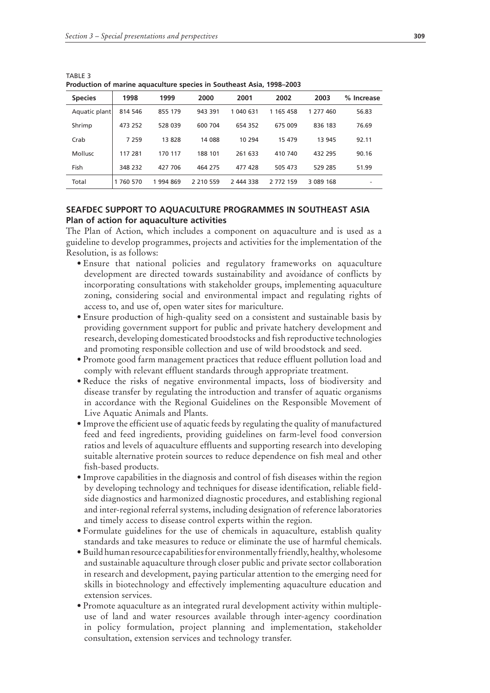| <b>Species</b> | 1998      | 1999      | 2000         | 2001      | 2002      | 2003      | % Increase |
|----------------|-----------|-----------|--------------|-----------|-----------|-----------|------------|
| Aquatic plant  | 814 546   | 855 179   | 943 391      | 1 040 631 | 1 165 458 | 1 277 460 | 56.83      |
| Shrimp         | 473 252   | 528 039   | 600 704      | 654 352   | 675 009   | 836 183   | 76.69      |
| Crab           | 7 2 5 9   | 13828     | 14 088       | 10 294    | 15 479    | 13 945    | 92.11      |
| Mollusc        | 117 281   | 170 117   | 188 101      | 261 633   | 410 740   | 432 295   | 90.16      |
| Fish           | 348 232   | 427 706   | 464 275      | 477 428   | 505 473   | 529 285   | 51.99      |
| Total          | 1 760 570 | 1 994 869 | 2 2 10 5 5 9 | 2 444 338 | 2 772 159 | 3 089 168 | -          |

Table 3 **Production of marine aquaculture species in Southeast Asia, 1998–2003**

## **SEAFDEC SUPPORT TO AQUACULTURE PROGRAMMES IN SOUTHEAST ASIA Plan of action for aquaculture activities**

The Plan of Action, which includes a component on aquaculture and is used as a guideline to develop programmes, projects and activities for the implementation of the Resolution, is as follows:

- Ensure that national policies and regulatory frameworks on aquaculture development are directed towards sustainability and avoidance of conflicts by incorporating consultations with stakeholder groups, implementing aquaculture zoning, considering social and environmental impact and regulating rights of access to, and use of, open water sites for mariculture.
- Ensure production of high-quality seed on a consistent and sustainable basis by providing government support for public and private hatchery development and research, developing domesticated broodstocks and fish reproductive technologies and promoting responsible collection and use of wild broodstock and seed.
- Promote good farm management practices that reduce effluent pollution load and comply with relevant effluent standards through appropriate treatment.
- Reduce the risks of negative environmental impacts, loss of biodiversity and disease transfer by regulating the introduction and transfer of aquatic organisms in accordance with the Regional Guidelines on the Responsible Movement of Live Aquatic Animals and Plants.
- Improve the efficient use of aquatic feeds by regulating the quality of manufactured feed and feed ingredients, providing guidelines on farm-level food conversion ratios and levels of aquaculture effluents and supporting research into developing suitable alternative protein sources to reduce dependence on fish meal and other fish-based products.
- Improve capabilities in the diagnosis and control of fish diseases within the region by developing technology and techniques for disease identification, reliable fieldside diagnostics and harmonized diagnostic procedures, and establishing regional and inter-regional referral systems, including designation of reference laboratories and timely access to disease control experts within the region.
- Formulate guidelines for the use of chemicals in aquaculture, establish quality standards and take measures to reduce or eliminate the use of harmful chemicals.
- Build human resource capabilities for environmentally friendly, healthy, wholesome and sustainable aquaculture through closer public and private sector collaboration in research and development, paying particular attention to the emerging need for skills in biotechnology and effectively implementing aquaculture education and extension services.
- Promote aquaculture as an integrated rural development activity within multiple-•use of land and water resources available through inter-agency coordination in policy formulation, project planning and implementation, stakeholder consultation, extension services and technology transfer.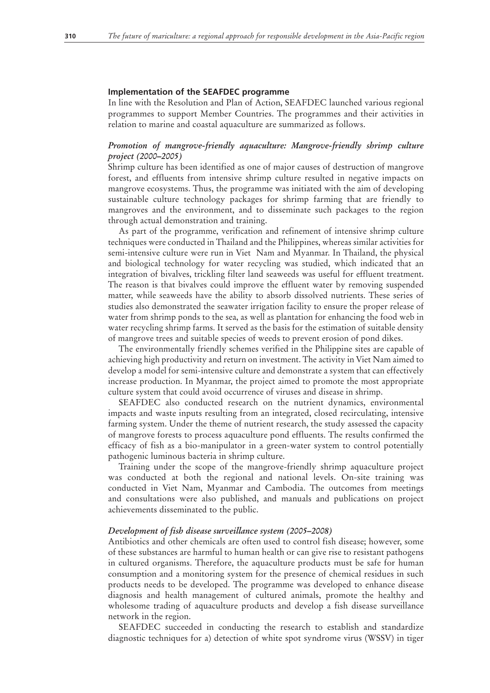#### **Implementation of the SEAFDEC programme**

In line with the Resolution and Plan of Action, SEAFDEC launched various regional programmes to support Member Countries. The programmes and their activities in relation to marine and coastal aquaculture are summarized as follows.

# *Promotion of mangrove-friendly aquaculture: Mangrove-friendly shrimp culture project (2000–2005)*

Shrimp culture has been identified as one of major causes of destruction of mangrove forest, and effluents from intensive shrimp culture resulted in negative impacts on mangrove ecosystems. Thus, the programme was initiated with the aim of developing sustainable culture technology packages for shrimp farming that are friendly to mangroves and the environment, and to disseminate such packages to the region through actual demonstration and training.

As part of the programme, verification and refinement of intensive shrimp culture techniques were conducted in Thailand and the Philippines, whereas similar activities for semi-intensive culture were run in Viet Nam and Myanmar. In Thailand, the physical and biological technology for water recycling was studied, which indicated that an integration of bivalves, trickling filter land seaweeds was useful for effluent treatment. The reason is that bivalves could improve the effluent water by removing suspended matter, while seaweeds have the ability to absorb dissolved nutrients. These series of studies also demonstrated the seawater irrigation facility to ensure the proper release of water from shrimp ponds to the sea, as well as plantation for enhancing the food web in water recycling shrimp farms. It served as the basis for the estimation of suitable density of mangrove trees and suitable species of weeds to prevent erosion of pond dikes.

The environmentally friendly schemes verified in the Philippine sites are capable of achieving high productivity and return on investment. The activity in Viet Nam aimed to develop a model for semi-intensive culture and demonstrate a system that can effectively increase production. In Myanmar, the project aimed to promote the most appropriate culture system that could avoid occurrence of viruses and disease in shrimp.

SEAFDEC also conducted research on the nutrient dynamics, environmental impacts and waste inputs resulting from an integrated, closed recirculating, intensive farming system. Under the theme of nutrient research, the study assessed the capacity of mangrove forests to process aquaculture pond effluents. The results confirmed the efficacy of fish as a bio-manipulator in a green-water system to control potentially pathogenic luminous bacteria in shrimp culture.

Training under the scope of the mangrove-friendly shrimp aquaculture project was conducted at both the regional and national levels. On-site training was conducted in Viet Nam, Myanmar and Cambodia. The outcomes from meetings and consultations were also published, and manuals and publications on project achievements disseminated to the public.

#### *Development of fish disease surveillance system (2005–2008)*

Antibiotics and other chemicals are often used to control fish disease; however, some of these substances are harmful to human health or can give rise to resistant pathogens in cultured organisms. Therefore, the aquaculture products must be safe for human consumption and a monitoring system for the presence of chemical residues in such products needs to be developed. The programme was developed to enhance disease diagnosis and health management of cultured animals, promote the healthy and wholesome trading of aquaculture products and develop a fish disease surveillance network in the region.

SEAFDEC succeeded in conducting the research to establish and standardize diagnostic techniques for a) detection of white spot syndrome virus (WSSV) in tiger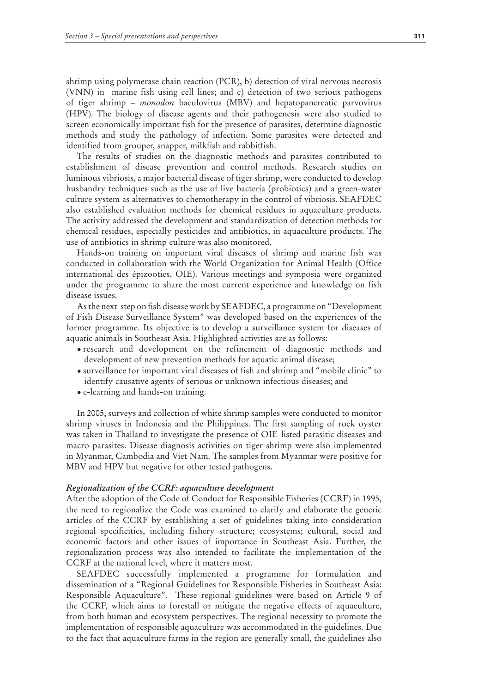shrimp using polymerase chain reaction (PCR), b) detection of viral nervous necrosis (VNN) in marine fish using cell lines; and c) detection of two serious pathogens of tiger shrimp – *monodon* baculovirus (MBV) and hepatopancreatic parvovirus (HPV). The biology of disease agents and their pathogenesis were also studied to screen economically important fish for the presence of parasites, determine diagnostic methods and study the pathology of infection. Some parasites were detected and identified from grouper, snapper, milkfish and rabbitfish.

The results of studies on the diagnostic methods and parasites contributed to establishment of disease prevention and control methods. Research studies on luminous vibriosis, a major bacterial disease of tiger shrimp, were conducted to develop husbandry techniques such as the use of live bacteria (probiotics) and a green-water culture system as alternatives to chemotherapy in the control of vibriosis. SEAFDEC also established evaluation methods for chemical residues in aquaculture products. The activity addressed the development and standardization of detection methods for chemical residues, especially pesticides and antibiotics, in aquaculture products. The use of antibiotics in shrimp culture was also monitored.

Hands-on training on important viral diseases of shrimp and marine fish was conducted in collaboration with the World Organization for Animal Health (Office international des épizooties, OIE). Various meetings and symposia were organized under the programme to share the most current experience and knowledge on fish disease issues.

As the next-step on fish disease work by SEAFDEC, a programme on "Development of Fish Disease Surveillance System" was developed based on the experiences of the former programme. Its objective is to develop a surveillance system for diseases of aquatic animals in Southeast Asia. Highlighted activities are as follows:

- research and development on the refinement of diagnostic methods and development of new prevention methods for aquatic animal disease;
- surveillance for important viral diseases of fish and shrimp and "mobile clinic" to identify causative agents of serious or unknown infectious diseases; and
- e-learning and hands-on training. •

In 2005, surveys and collection of white shrimp samples were conducted to monitor shrimp viruses in Indonesia and the Philippines. The first sampling of rock oyster was taken in Thailand to investigate the presence of OIE-listed parasitic diseases and macro-parasites. Disease diagnosis activities on tiger shrimp were also implemented in Myanmar, Cambodia and Viet Nam. The samples from Myanmar were positive for MBV and HPV but negative for other tested pathogens.

#### *Regionalization of the CCRF: aquaculture development*

After the adoption of the Code of Conduct for Responsible Fisheries (CCRF) in 1995, the need to regionalize the Code was examined to clarify and elaborate the generic articles of the CCRF by establishing a set of guidelines taking into consideration regional specificities, including fishery structure; ecosystems; cultural, social and economic factors and other issues of importance in Southeast Asia. Further, the regionalization process was also intended to facilitate the implementation of the CCRF at the national level, where it matters most.

SEAFDEC successfully implemented a programme for formulation and dissemination of a "Regional Guidelines for Responsible Fisheries in Southeast Asia: Responsible Aquaculture". These regional guidelines were based on Article 9 of the CCRF, which aims to forestall or mitigate the negative effects of aquaculture, from both human and ecosystem perspectives. The regional necessity to promote the implementation of responsible aquaculture was accommodated in the guidelines. Due to the fact that aquaculture farms in the region are generally small, the guidelines also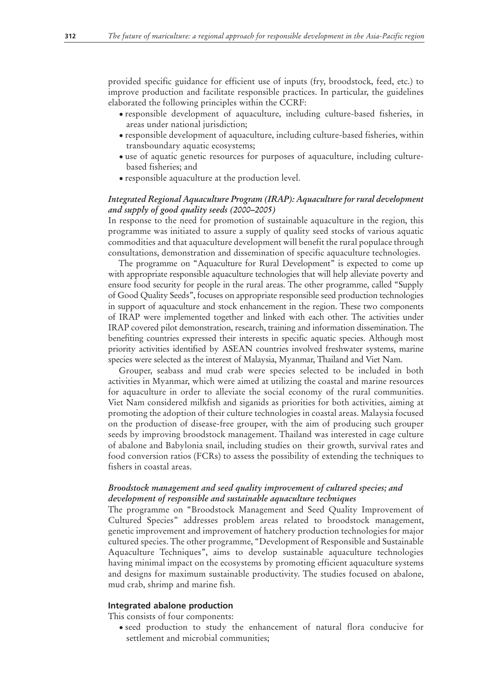provided specific guidance for efficient use of inputs (fry, broodstock, feed, etc.) to improve production and facilitate responsible practices. In particular, the guidelines elaborated the following principles within the CCRF:

- responsible development of aquaculture, including culture-based fisheries, in areas under national jurisdiction;
- responsible development of aquaculture, including culture-based fisheries, within transboundary aquatic ecosystems;
- use of aquatic genetic resources for purposes of aquaculture, including culture-• based fisheries; and
- responsible aquaculture at the production level. •

# *Integrated Regional Aquaculture Program (IRAP): Aquaculture for rural development and supply of good quality seeds (2000–2005)*

In response to the need for promotion of sustainable aquaculture in the region, this programme was initiated to assure a supply of quality seed stocks of various aquatic commodities and that aquaculture development will benefit the rural populace through consultations, demonstration and dissemination of specific aquaculture technologies.

The programme on "Aquaculture for Rural Development" is expected to come up with appropriate responsible aquaculture technologies that will help alleviate poverty and ensure food security for people in the rural areas. The other programme, called "Supply of Good Quality Seeds", focuses on appropriate responsible seed production technologies in support of aquaculture and stock enhancement in the region. These two components of IRAP were implemented together and linked with each other. The activities under IRAP covered pilot demonstration, research, training and information dissemination. The benefiting countries expressed their interests in specific aquatic species. Although most priority activities identified by ASEAN countries involved freshwater systems, marine species were selected as the interest of Malaysia, Myanmar, Thailand and Viet Nam.

Grouper, seabass and mud crab were species selected to be included in both activities in Myanmar, which were aimed at utilizing the coastal and marine resources for aquaculture in order to alleviate the social economy of the rural communities. Viet Nam considered milkfish and siganids as priorities for both activities, aiming at promoting the adoption of their culture technologies in coastal areas. Malaysia focused on the production of disease-free grouper, with the aim of producing such grouper seeds by improving broodstock management. Thailand was interested in cage culture of abalone and Babylonia snail, including studies on their growth, survival rates and food conversion ratios (FCRs) to assess the possibility of extending the techniques to fishers in coastal areas.

# *Broodstock management and seed quality improvement of cultured species; and development of responsible and sustainable aquaculture techniques*

The programme on "Broodstock Management and Seed Quality Improvement of Cultured Species" addresses problem areas related to broodstock management, genetic improvement and improvement of hatchery production technologies for major cultured species. The other programme, "Development of Responsible and Sustainable Aquaculture Techniques", aims to develop sustainable aquaculture technologies having minimal impact on the ecosystems by promoting efficient aquaculture systems and designs for maximum sustainable productivity. The studies focused on abalone, mud crab, shrimp and marine fish.

#### **Integrated abalone production**

This consists of four components:

• seed production to study the enhancement of natural flora conducive for settlement and microbial communities;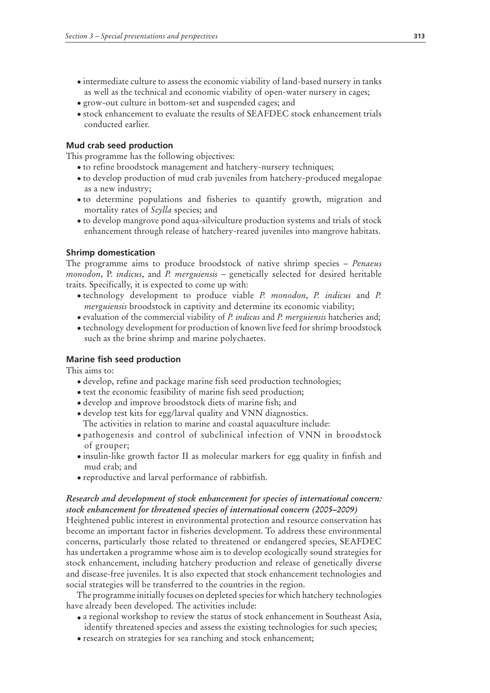- intermediate culture to assess the economic viability of land-based nursery in tanks as well as the technical and economic viability of open-water nursery in cages;
- grow-out culture in bottom-set and suspended cages; and •
- stock enhancement to evaluate the results of SEAFDEC stock enhancement trials conducted earlier.

# **Mud crab seed production**

This programme has the following objectives:

- to refine broodstock management and hatchery-nursery techniques; •
- to develop production of mud crab juveniles from hatchery-produced megalopae as a new industry;
- to determine populations and fisheries to quantify growth, migration and mortality rates of *Scylla* species; and
- to develop mangrove pond aqua-silviculture production systems and trials of stock •enhancement through release of hatchery-reared juveniles into mangrove habitats.

## **Shrimp domestication**

The programme aims to produce broodstock of native shrimp species – *Penaeus monodon*, P. *indicus*, and *P. merguiensis* – genetically selected for desired heritable traits. Specifically, it is expected to come up with:

- technology development to produce viable *P. monodon*, *P. indicus* and *P. merguiensis* broodstock in captivity and determine its economic viability;
- evaluation of the commercial viability of *P. indicus* and *P. merguiensis* hatcheries and;
- technology development for production of known live feed for shrimp broodstock such as the brine shrimp and marine polychaetes.

# **Marine fish seed production**

This aims to:

- develop, refine and package marine fish seed production technologies; •
- test the economic feasibility of marine fish seed production;
- develop and improve broodstock diets of marine fish; and •
- develop test kits for egg/larval quality and VNN diagnostics. The activities in relation to marine and coastal aquaculture include:
- pathogenesis and control of subclinical infection of VNN in broodstock of grouper;
- insulin-like growth factor II as molecular markers for egg quality in finfish and mud crab; and
- reproductive and larval performance of rabbitfish. •

# *Research and development of stock enhancement for species of international concern: stock enhancement for threatened species of international concern (2005–2009)*

Heightened public interest in environmental protection and resource conservation has become an important factor in fisheries development. To address these environmental concerns, particularly those related to threatened or endangered species, SEAFDEC has undertaken a programme whose aim is to develop ecologically sound strategies for stock enhancement, including hatchery production and release of genetically diverse and disease-free juveniles. It is also expected that stock enhancement technologies and social strategies will be transferred to the countries in the region.

The programme initially focuses on depleted species for which hatchery technologies have already been developed. The activities include:

- a regional workshop to review the status of stock enhancement in Southeast Asia, identify threatened species and assess the existing technologies for such species;
- research on strategies for sea ranching and stock enhancement; •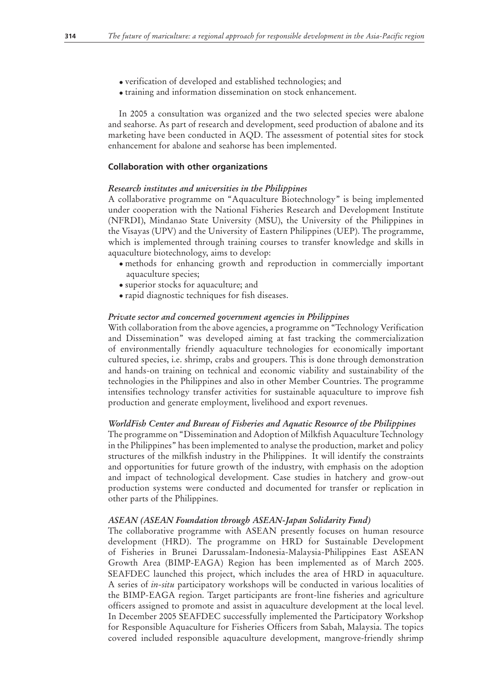- verification of developed and established technologies; and •
- training and information dissemination on stock enhancement.

In 2005 a consultation was organized and the two selected species were abalone and seahorse. As part of research and development, seed production of abalone and its marketing have been conducted in AQD. The assessment of potential sites for stock enhancement for abalone and seahorse has been implemented.

## **Collaboration with other organizations**

#### *Research institutes and universities in the Philippines*

A collaborative programme on "Aquaculture Biotechnology" is being implemented under cooperation with the National Fisheries Research and Development Institute (NFRDI), Mindanao State University (MSU), the University of the Philippines in the Visayas (UPV) and the University of Eastern Philippines (UEP). The programme, which is implemented through training courses to transfer knowledge and skills in aquaculture biotechnology, aims to develop:

- methods for enhancing growth and reproduction in commercially important aquaculture species;
- superior stocks for aquaculture; and •
- rapid diagnostic techniques for fish diseases. •

#### *Private sector and concerned government agencies in Philippines*

With collaboration from the above agencies, a programme on "Technology Verification and Dissemination" was developed aiming at fast tracking the commercialization of environmentally friendly aquaculture technologies for economically important cultured species, i.e. shrimp, crabs and groupers. This is done through demonstration and hands-on training on technical and economic viability and sustainability of the technologies in the Philippines and also in other Member Countries. The programme intensifies technology transfer activities for sustainable aquaculture to improve fish production and generate employment, livelihood and export revenues.

#### *WorldFish Center and Bureau of Fisheries and Aquatic Resource of the Philippines*

The programme on "Dissemination and Adoption of Milkfish Aquaculture Technology in the Philippines" has been implemented to analyse the production, market and policy structures of the milkfish industry in the Philippines. It will identify the constraints and opportunities for future growth of the industry, with emphasis on the adoption and impact of technological development. Case studies in hatchery and grow-out production systems were conducted and documented for transfer or replication in other parts of the Philippines.

#### *ASEAN (ASEAN Foundation through ASEAN-Japan Solidarity Fund)*

The collaborative programme with ASEAN presently focuses on human resource development (HRD). The programme on HRD for Sustainable Development of Fisheries in Brunei Darussalam-Indonesia-Malaysia-Philippines East ASEAN Growth Area (BIMP-EAGA) Region has been implemented as of March 2005. SEAFDEC launched this project, which includes the area of HRD in aquaculture. A series of *in-situ* participatory workshops will be conducted in various localities of the BIMP-EAGA region. Target participants are front-line fisheries and agriculture officers assigned to promote and assist in aquaculture development at the local level. In December 2005 SEAFDEC successfully implemented the Participatory Workshop for Responsible Aquaculture for Fisheries Officers from Sabah, Malaysia. The topics covered included responsible aquaculture development, mangrove-friendly shrimp